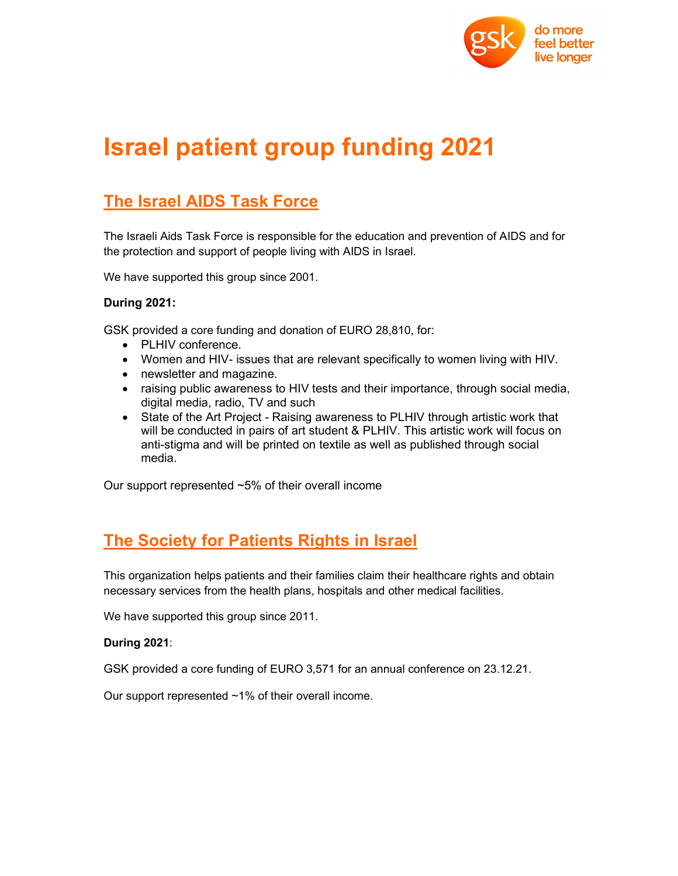

# Israel patient group funding 2021

### The Israel AIDS Task Force

The Israeli Aids Task Force is responsible for the education and prevention of AIDS and for the protection and support of people living with AIDS in Israel.

We have supported this group since 2001.

### During 2021:

GSK provided a core funding and donation of EURO 28,810, for:

- PLHIV conference.
- Women and HIV- issues that are relevant specifically to women living with HIV.
- newsletter and magazine.
- raising public awareness to HIV tests and their importance, through social media, digital media, radio, TV and such
- State of the Art Project Raising awareness to PLHIV through artistic work that will be conducted in pairs of art student & PLHIV. This artistic work will focus on anti-stigma and will be printed on textile as well as published through social media.

Our support represented ~5% of their overall income

### The Society for Patients Rights in Israel

This organization helps patients and their families claim their healthcare rights and obtain necessary services from the health plans, hospitals and other medical facilities.

We have supported this group since 2011.

#### During 2021:

GSK provided a core funding of EURO 3,571 for an annual conference on 23.12.21.<br>Our support represented ~1% of their overall income.